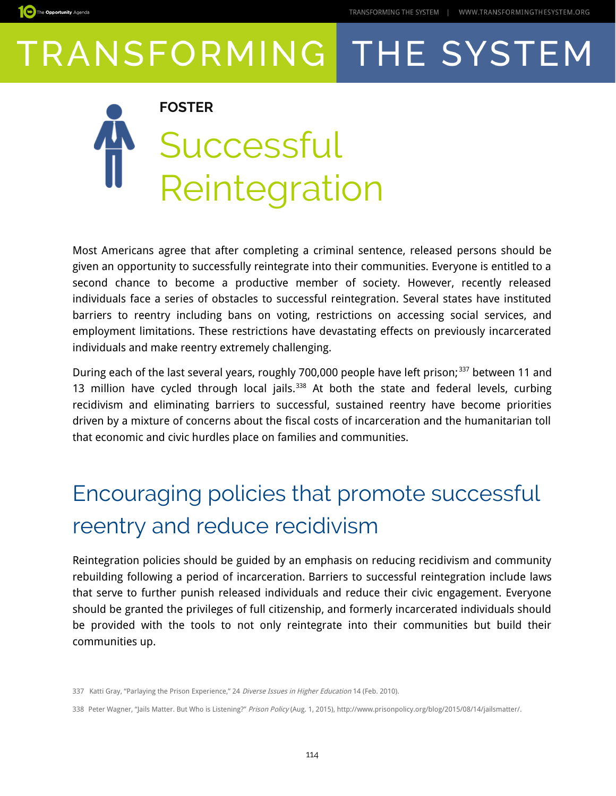



Most Americans agree that after completing a criminal sentence, released persons should be given an opportunity to successfully reintegrate into their communities. Everyone is entitled to a second chance to become a productive member of society. However, recently released individuals face a series of obstacles to successful reintegration. Several states have instituted barriers to reentry including bans on voting, restrictions on accessing social services, and employment limitations. These restrictions have devastating effects on previously incarcerated individuals and make reentry extremely challenging.

During each of the last several years, roughly 700,000 people have left prison;<sup>[337](#page-0-0)</sup> between 11 and 13 million have cycled through local jails.<sup>[338](#page-0-1)</sup> At both the state and federal levels, curbing recidivism and eliminating barriers to successful, sustained reentry have become priorities driven by a mixture of concerns about the fiscal costs of incarceration and the humanitarian toll that economic and civic hurdles place on families and communities.

### Encouraging policies that promote successful reentry and reduce recidivism

Reintegration policies should be guided by an emphasis on reducing recidivism and community rebuilding following a period of incarceration. Barriers to successful reintegration include laws that serve to further punish released individuals and reduce their civic engagement. Everyone should be granted the privileges of full citizenship, and formerly incarcerated individuals should be provided with the tools to not only reintegrate into their communities but build their communities up.

<span id="page-0-0"></span><sup>337</sup> Katti Gray, "Parlaying the Prison Experience," 24 Diverse Issues in Higher Education 14 (Feb. 2010).

<span id="page-0-1"></span><sup>338</sup> Peter Wagner, "Jails Matter. But Who is Listening?" Prison Policy (Aug. 1, 2015), http://www.prisonpolicy.org/blog/2015/08/14/jailsmatter/.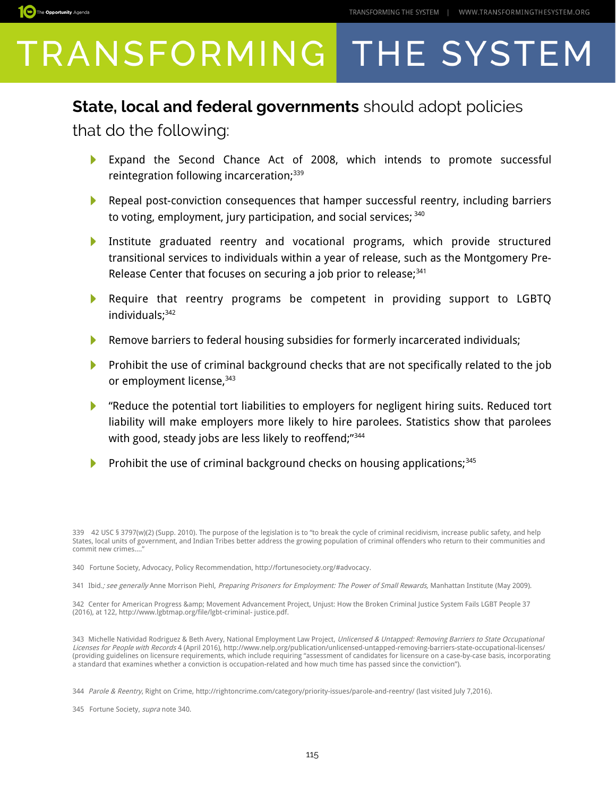

#### **State, local and federal governments** should adopt policies

that do the following:

- Expand the Second Chance Act of 2008, which intends to promote successful reintegration following incarceration;<sup>[339](#page-1-0)</sup>
- Repeal post-conviction consequences that hamper successful reentry, including barriers to voting, employment, jury participation, and social services;  $340$
- Þ Institute graduated reentry and vocational programs, which provide structured transitional services to individuals within a year of release, such as the Montgomery Pre-Release Center that focuses on securing a job prior to release; $341$
- Require that reentry programs be competent in providing support to LGBTQ Þ individuals;<sup>[342](#page-1-3)</sup>
- Remove barriers to federal housing subsidies for formerly incarcerated individuals; Þ
- **Prohibit the use of criminal background checks that are not specifically related to the job** or employment license, [343](#page-1-4)
- "Reduce the potential tort liabilities to employers for negligent hiring suits. Reduced tort liability will make employers more likely to hire parolees. Statistics show that parolees with good, steady jobs are less likely to reoffend;"<sup>[344](#page-1-5)</sup>
- Prohibit the use of criminal background checks on housing applications;<sup>[345](#page-1-6)</sup>

<span id="page-1-0"></span><sup>339 42</sup> USC § 3797(w)(2) (Supp. 2010). The purpose of the legislation is to "to break the cycle of criminal recidivism, increase public safety, and help States, local units of government, and Indian Tribes better address the growing population of criminal offenders who return to their communities and commit new crimes...

<span id="page-1-1"></span><sup>340</sup> Fortune Society, Advocacy, Policy Recommendation, http://fortunesociety.org/#advocacy.

<span id="page-1-2"></span><sup>341</sup> Ibid.; see generally Anne Morrison Piehl, Preparing Prisoners for Employment: The Power of Small Rewards, Manhattan Institute (May 2009).

<span id="page-1-3"></span><sup>342</sup> Center for American Progress & amp; Movement Advancement Project, Unjust: How the Broken Criminal Justice System Fails LGBT People 37 (2016), at 122, http://www.lgbtmap.org/file/lgbt-criminal- justice.pdf.

<span id="page-1-4"></span><sup>343</sup> Michelle Natividad Rodriguez & Beth Avery, National Employment Law Project, Unlicensed & Untapped: Removing Barriers to State Occupational Licenses for People with Records 4 (April 2016), http://www.nelp.org/publication/unlicensed-untapped-removing-barriers-state-occupational-licenses/ (providing guidelines on licensure requirements, which include requiring "assessment of candidates for licensure on a case-by-case basis, incorporating a standard that examines whether a conviction is occupation-related and how much time has passed since the conviction").

<span id="page-1-5"></span><sup>344</sup> Parole & Reentry, Right on Crime, http://rightoncrime.com/category/priority-issues/parole-and-reentry/ (last visited July 7,2016).

<span id="page-1-6"></span><sup>345</sup> Fortune Society, supra note 340.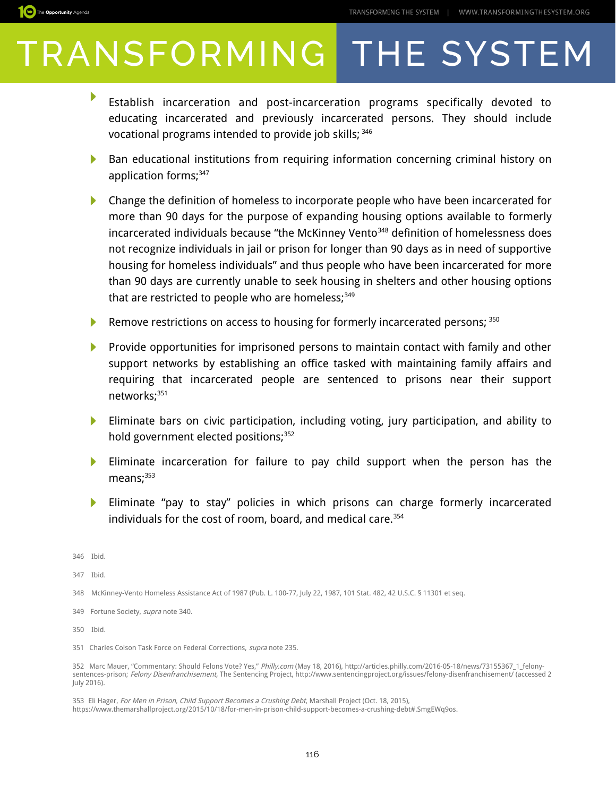

- ▶ Establish incarceration and post-incarceration programs specifically devoted to educating incarcerated and previously incarcerated persons. They should include vocational programs intended to provide job skills; [346](#page-2-0)
- N Ban educational institutions from requiring information concerning criminal history on application forms;<sup>[347](#page-2-1)</sup>
- Þ. Change the definition of homeless to incorporate people who have been incarcerated for more than 90 days for the purpose of expanding housing options available to formerly incarcerated individuals because "the McKinney Vento<sup>[348](#page-2-2)</sup> definition of homelessness does not recognize individuals in jail or prison for longer than 90 days as in need of supportive housing for homeless individuals" and thus people who have been incarcerated for more than 90 days are currently unable to seek housing in shelters and other housing options that are restricted to people who are homeless; $349$
- Remove restrictions on access to housing for formerly incarcerated persons; [350](#page-2-4)
- N Provide opportunities for imprisoned persons to maintain contact with family and other support networks by establishing an office tasked with maintaining family affairs and requiring that incarcerated people are sentenced to prisons near their support networks;<sup>[351](#page-2-5)</sup>
- Eliminate bars on civic participation, including voting, jury participation, and ability to  $\blacktriangleright$ hold government elected positions;<sup>[352](#page-2-6)</sup>
- Eliminate incarceration for failure to pay child support when the person has the  $means:  $353$$  $means:  $353$$  $means:  $353$$
- Eliminate "pay to stay" policies in which prisons can charge formerly incarcerated Þ individuals for the cost of room, board, and medical care.<sup>[354](#page-3-0)</sup>

<span id="page-2-0"></span>346 Ibid.

<span id="page-2-1"></span>347 Ibid.

- <span id="page-2-2"></span>348 McKinney-Vento Homeless Assistance Act of 1987 (Pub. L. 100-77, July 22, 1987, 101 Stat. 482, 42 U.S.C. § 11301 et seq.
- <span id="page-2-3"></span>349 Fortune Society, supra note 340.

<span id="page-2-4"></span>350 Ibid.

<span id="page-2-5"></span>351 Charles Colson Task Force on Federal Corrections, supra note 235.

<span id="page-2-6"></span>352 Marc Mauer, "Commentary: Should Felons Vote? Yes," Philly.com (May 18, 2016), http://articles.philly.com/2016-05-18/news/73155367\_1\_felonysentences-prison; Felony Disenfranchisement, The Sentencing Project, http://www.sentencingproject.org/issues/felony-disenfranchisement/ (accessed 2 July 2016).

<span id="page-2-7"></span>353 Eli Hager, For Men in Prison, Child Support Becomes a Crushing Debt, Marshall Project (Oct. 18, 2015), https://www.themarshallproject.org/2015/10/18/for-men-in-prison-child-support-becomes-a-crushing-debt#.SmgEWq9os.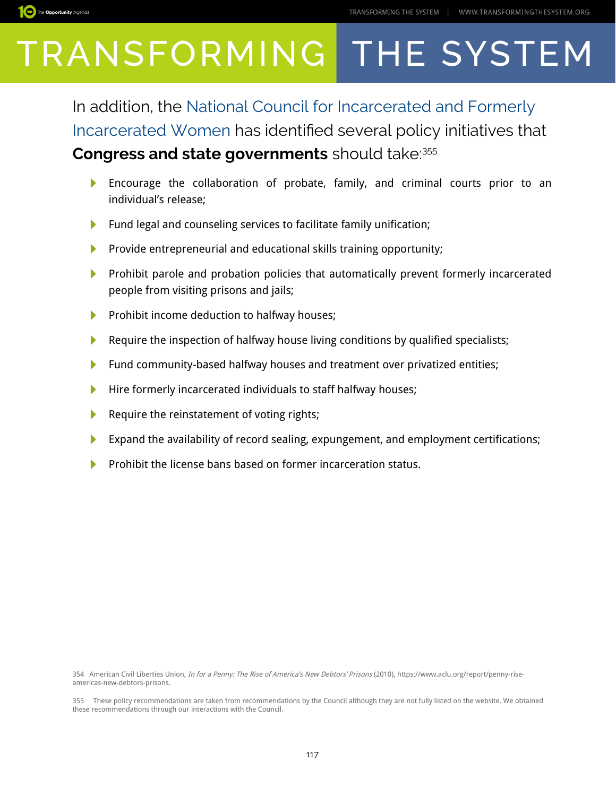

In addition, the [National Council for Incarcerated and Formerly](http://thecouncil.us/the-declaration-of-ncifiwg/)  [Incarcerated Women](http://thecouncil.us/the-declaration-of-ncifiwg/) has identifed several policy initiatives that **Congress and state governments** should take:[355](#page-3-1)

- Encourage the collaboration of probate, family, and criminal courts prior to an  $\blacktriangleright$ individual's release;
- Fund legal and counseling services to facilitate family unification; N
- Þ Provide entrepreneurial and educational skills training opportunity;
- N Prohibit parole and probation policies that automatically prevent formerly incarcerated people from visiting prisons and jails;
- Prohibit income deduction to halfway houses;  $\blacktriangleright$
- Þ Require the inspection of halfway house living conditions by qualified specialists;
- $\blacktriangleright$ Fund community-based halfway houses and treatment over privatized entities;
- Hire formerly incarcerated individuals to staff halfway houses; Þ
- Require the reinstatement of voting rights; ▶
- Expand the availability of record sealing, expungement, and employment certifications;
- Prohibit the license bans based on former incarceration status.

<span id="page-3-0"></span>354 American Civil Liberties Union, *In for a Penny: The Rise of America's New Debtors' Prisons* (2010), https://www.aclu.org/report/penny-riseamericas-new-debtors-prisons.

<span id="page-3-1"></span>355 These policy recommendations are taken from recommendations by the Council although they are not fully listed on the website. We obtained these recommendations through our interactions with the Council.